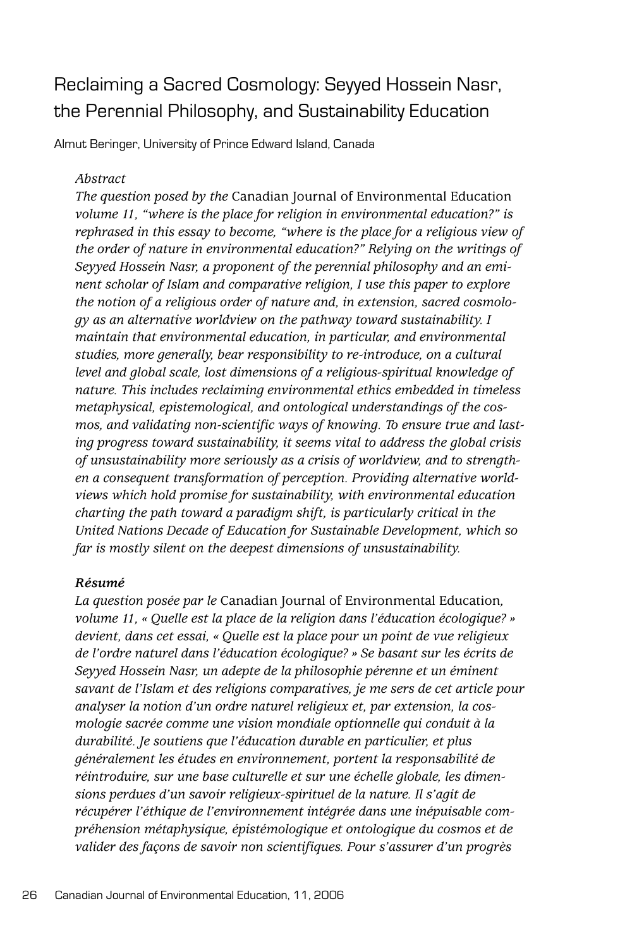# Reclaiming a Sacred Cosmology: Seyyed Hossein Nasr, the Perennial Philosophy, and Sustainability Education

Almut Beringer, University of Prince Edward Island, Canada

#### *Abstract*

*The question posed by the* Canadian Journal of Environmental Education *volume 11, "where is the place for religion in environmental education?" is rephrased in this essay to become, "where is the place for a religious view of the order of nature in environmental education?" Relying on the writings of Seyyed Hossein Nasr, a proponent of the perennial philosophy and an eminent scholar of Islam and comparative religion, I use this paper to explore the notion of a religious order of nature and, in extension, sacred cosmology as an alternative worldview on the pathway toward sustainability. I maintain that environmental education, in particular, and environmental studies, more generally, bear responsibility to re-introduce, on a cultural level and global scale, lost dimensions of a religious-spiritual knowledge of nature. This includes reclaiming environmental ethics embedded in timeless metaphysical, epistemological, and ontological understandings of the cosmos, and validating non-scientific ways of knowing. To ensure true and lasting progress toward sustainability, it seems vital to address the global crisis of unsustainability more seriously as a crisis of worldview, and to strengthen a consequent transformation of perception. Providing alternative worldviews which hold promise for sustainability, with environmental education charting the path toward a paradigm shift, is particularly critical in the United Nations Decade of Education for Sustainable Development, which so far is mostly silent on the deepest dimensions of unsustainability.* 

#### *Résumé*

*La question posée par le* Canadian Journal of Environmental Education*, volume 11, « Quelle est la place de la religion dans l'éducation écologique? » devient, dans cet essai, « Quelle est la place pour un point de vue religieux de l'ordre naturel dans l'éducation écologique? » Se basant sur les écrits de Seyyed Hossein Nasr, un adepte de la philosophie pérenne et un éminent savant de l'Islam et des religions comparatives, je me sers de cet article pour analyser la notion d'un ordre naturel religieux et, par extension, la cosmologie sacrée comme une vision mondiale optionnelle qui conduit à la durabilité. Je soutiens que l'éducation durable en particulier, et plus généralement les études en environnement, portent la responsabilité de réintroduire, sur une base culturelle et sur une échelle globale, les dimensions perdues d'un savoir religieux-spirituel de la nature. Il s'agit de récupérer l'éthique de l'environnement intégrée dans une inépuisable compréhension métaphysique, épistémologique et ontologique du cosmos et de valider des façons de savoir non scientifiques. Pour s'assurer d'un progrès*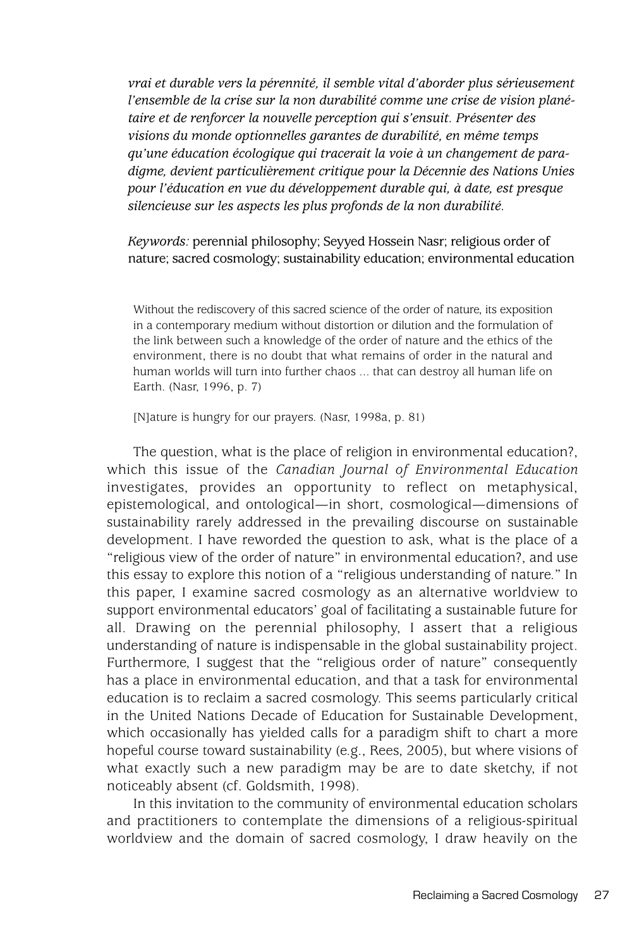*vrai et durable vers la pérennité, il semble vital d'aborder plus sérieusement l'ensemble de la crise sur la non durabilité comme une crise de vision planétaire et de renforcer la nouvelle perception qui s'ensuit. Présenter des visions du monde optionnelles garantes de durabilité, en même temps qu'une éducation écologique qui tracerait la voie à un changement de paradigme, devient particulièrement critique pour la Décennie des Nations Unies pour l'éducation en vue du développement durable qui, à date, est presque silencieuse sur les aspects les plus profonds de la non durabilité.*

*Keywords:* perennial philosophy; Seyyed Hossein Nasr; religious order of nature; sacred cosmology; sustainability education; environmental education

Without the rediscovery of this sacred science of the order of nature, its exposition in a contemporary medium without distortion or dilution and the formulation of the link between such a knowledge of the order of nature and the ethics of the environment, there is no doubt that what remains of order in the natural and human worlds will turn into further chaos ... that can destroy all human life on Earth. (Nasr, 1996, p. 7)

[N]ature is hungry for our prayers. (Nasr, 1998a, p. 81)

The question, what is the place of religion in environmental education?, which this issue of the *Canadian Journal of Environmental Education* investigates, provides an opportunity to reflect on metaphysical, epistemological, and ontological—in short, cosmological—dimensions of sustainability rarely addressed in the prevailing discourse on sustainable development. I have reworded the question to ask, what is the place of a "religious view of the order of nature" in environmental education?, and use this essay to explore this notion of a "religious understanding of nature." In this paper, I examine sacred cosmology as an alternative worldview to support environmental educators' goal of facilitating a sustainable future for all. Drawing on the perennial philosophy, I assert that a religious understanding of nature is indispensable in the global sustainability project. Furthermore, I suggest that the "religious order of nature" consequently has a place in environmental education, and that a task for environmental education is to reclaim a sacred cosmology. This seems particularly critical in the United Nations Decade of Education for Sustainable Development, which occasionally has yielded calls for a paradigm shift to chart a more hopeful course toward sustainability (e.g., Rees, 2005), but where visions of what exactly such a new paradigm may be are to date sketchy, if not noticeably absent (cf. Goldsmith, 1998).

In this invitation to the community of environmental education scholars and practitioners to contemplate the dimensions of a religious-spiritual worldview and the domain of sacred cosmology, I draw heavily on the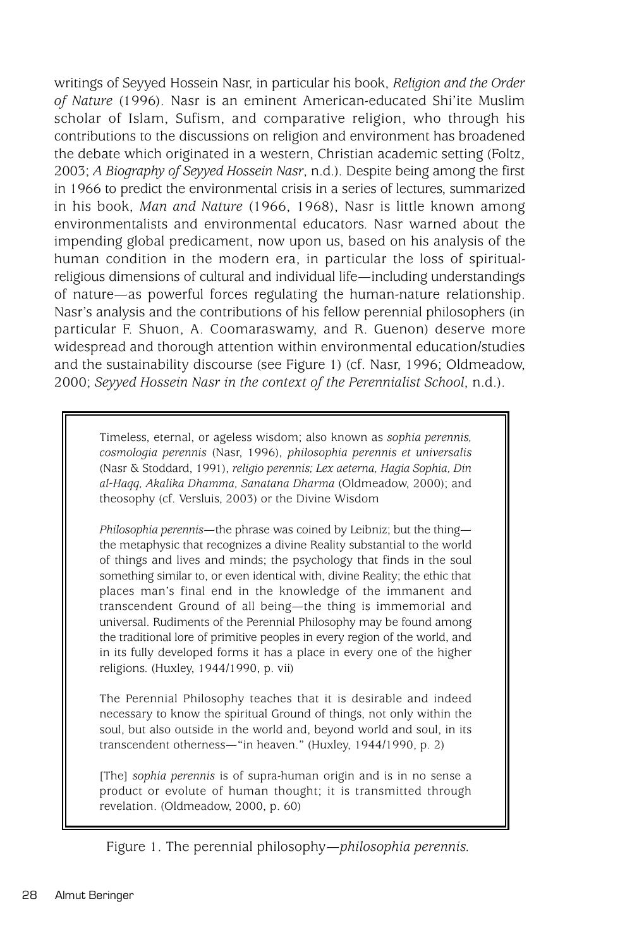writings of Seyyed Hossein Nasr, in particular his book, *Religion and the Order of Nature* (1996). Nasr is an eminent American-educated Shi'ite Muslim scholar of Islam, Sufism, and comparative religion, who through his contributions to the discussions on religion and environment has broadened the debate which originated in a western, Christian academic setting (Foltz, 2003; *A Biography of Seyyed Hossein Nasr*, n.d.). Despite being among the first in 1966 to predict the environmental crisis in a series of lectures, summarized in his book, *Man and Nature* (1966, 1968), Nasr is little known among environmentalists and environmental educators. Nasr warned about the impending global predicament, now upon us, based on his analysis of the human condition in the modern era, in particular the loss of spiritualreligious dimensions of cultural and individual life—including understandings of nature—as powerful forces regulating the human-nature relationship. Nasr's analysis and the contributions of his fellow perennial philosophers (in particular F. Shuon, A. Coomaraswamy, and R. Guenon) deserve more widespread and thorough attention within environmental education/studies and the sustainability discourse (see Figure 1) (cf. Nasr, 1996; Oldmeadow, 2000; *Seyyed Hossein Nasr in the context of the Perennialist School*, n.d.).

Timeless, eternal, or ageless wisdom; also known as *sophia perennis, cosmologia perennis* (Nasr, 1996), *philosophia perennis et universalis* (Nasr & Stoddard, 1991), *religio perennis; Lex aeterna, Hagia Sophia, Din al-Haqq, Akalika Dhamma, Sanatana Dharma* (Oldmeadow, 2000); and theosophy (cf. Versluis, 2003) or the Divine Wisdom

*Philosophia perennis*—the phrase was coined by Leibniz; but the thing the metaphysic that recognizes a divine Reality substantial to the world of things and lives and minds; the psychology that finds in the soul something similar to, or even identical with, divine Reality; the ethic that places man's final end in the knowledge of the immanent and transcendent Ground of all being—the thing is immemorial and universal. Rudiments of the Perennial Philosophy may be found among the traditional lore of primitive peoples in every region of the world, and in its fully developed forms it has a place in every one of the higher religions. (Huxley, 1944/1990, p. vii)

The Perennial Philosophy teaches that it is desirable and indeed necessary to know the spiritual Ground of things, not only within the soul, but also outside in the world and, beyond world and soul, in its transcendent otherness—"in heaven." (Huxley, 1944/1990, p. 2)

[The] *sophia perennis* is of supra-human origin and is in no sense a product or evolute of human thought; it is transmitted through revelation. (Oldmeadow, 2000, p. 60)

Figure 1. The perennial philosophy—*philosophia perennis.*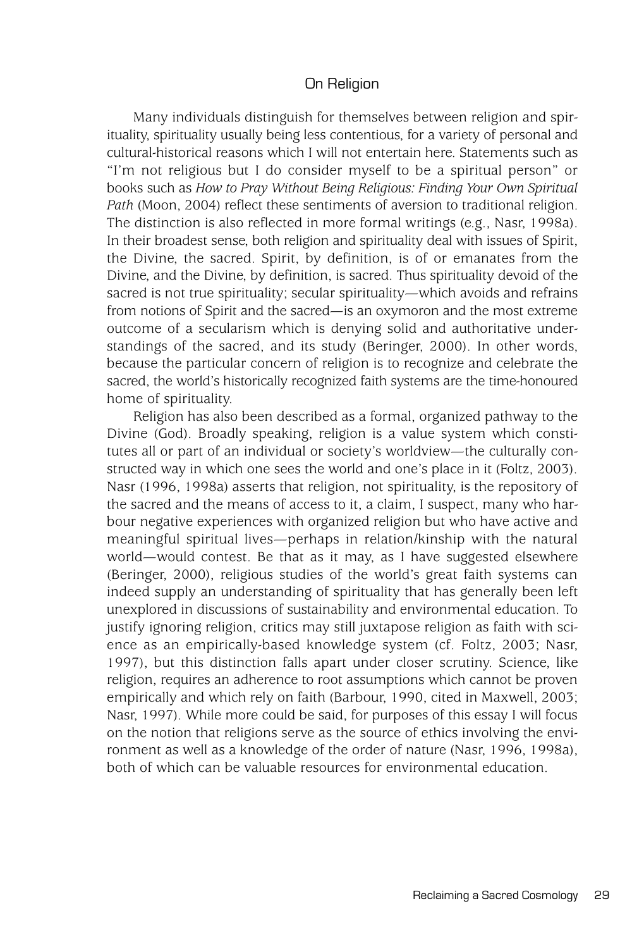# On Religion

Many individuals distinguish for themselves between religion and spirituality, spirituality usually being less contentious, for a variety of personal and cultural-historical reasons which I will not entertain here. Statements such as "I'm not religious but I do consider myself to be a spiritual person" or books such as *How to Pray Without Being Religious: Finding Your Own Spiritual Path* (Moon, 2004) reflect these sentiments of aversion to traditional religion. The distinction is also reflected in more formal writings (e.g., Nasr, 1998a). In their broadest sense, both religion and spirituality deal with issues of Spirit, the Divine, the sacred. Spirit, by definition, is of or emanates from the Divine, and the Divine, by definition, is sacred. Thus spirituality devoid of the sacred is not true spirituality; secular spirituality—which avoids and refrains from notions of Spirit and the sacred—is an oxymoron and the most extreme outcome of a secularism which is denying solid and authoritative understandings of the sacred, and its study (Beringer, 2000). In other words, because the particular concern of religion is to recognize and celebrate the sacred, the world's historically recognized faith systems are the time-honoured home of spirituality.

Religion has also been described as a formal, organized pathway to the Divine (God). Broadly speaking, religion is a value system which constitutes all or part of an individual or society's worldview—the culturally constructed way in which one sees the world and one's place in it (Foltz, 2003). Nasr (1996, 1998a) asserts that religion, not spirituality, is the repository of the sacred and the means of access to it, a claim, I suspect, many who harbour negative experiences with organized religion but who have active and meaningful spiritual lives—perhaps in relation/kinship with the natural world—would contest. Be that as it may, as I have suggested elsewhere (Beringer, 2000), religious studies of the world's great faith systems can indeed supply an understanding of spirituality that has generally been left unexplored in discussions of sustainability and environmental education. To justify ignoring religion, critics may still juxtapose religion as faith with science as an empirically-based knowledge system (cf. Foltz, 2003; Nasr, 1997), but this distinction falls apart under closer scrutiny. Science, like religion, requires an adherence to root assumptions which cannot be proven empirically and which rely on faith (Barbour, 1990, cited in Maxwell, 2003; Nasr, 1997). While more could be said, for purposes of this essay I will focus on the notion that religions serve as the source of ethics involving the environment as well as a knowledge of the order of nature (Nasr, 1996, 1998a), both of which can be valuable resources for environmental education.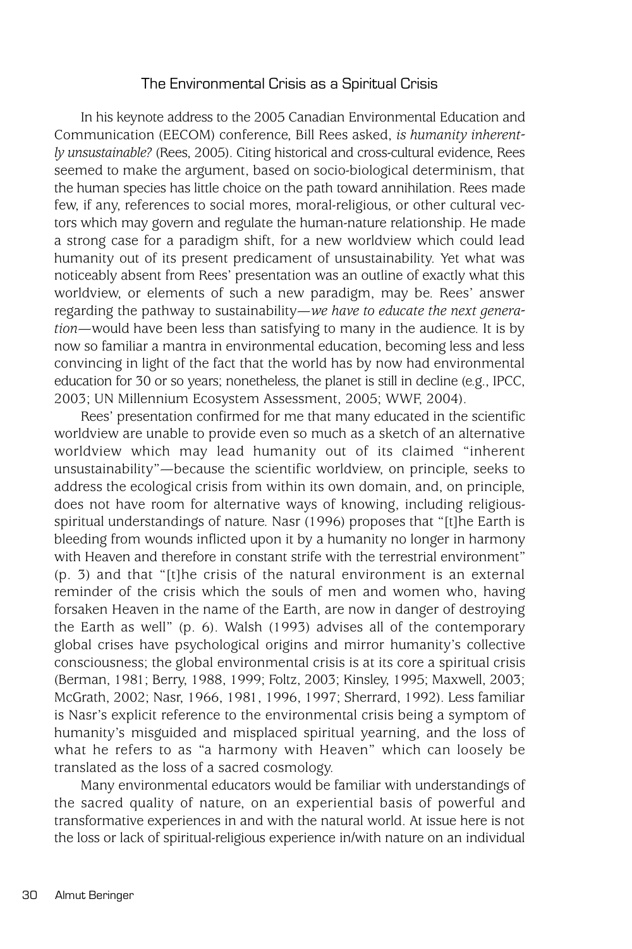# The Environmental Crisis as a Spiritual Crisis

In his keynote address to the 2005 Canadian Environmental Education and Communication (EECOM) conference, Bill Rees asked, *is humanity inherently unsustainable?* (Rees, 2005). Citing historical and cross-cultural evidence, Rees seemed to make the argument, based on socio-biological determinism, that the human species has little choice on the path toward annihilation. Rees made few, if any, references to social mores, moral-religious, or other cultural vectors which may govern and regulate the human-nature relationship. He made a strong case for a paradigm shift, for a new worldview which could lead humanity out of its present predicament of unsustainability. Yet what was noticeably absent from Rees' presentation was an outline of exactly what this worldview, or elements of such a new paradigm, may be. Rees' answer regarding the pathway to sustainability—*we have to educate the next generation*—would have been less than satisfying to many in the audience. It is by now so familiar a mantra in environmental education, becoming less and less convincing in light of the fact that the world has by now had environmental education for 30 or so years; nonetheless, the planet is still in decline (e.g., IPCC, 2003; UN Millennium Ecosystem Assessment, 2005; WWF, 2004).

Rees' presentation confirmed for me that many educated in the scientific worldview are unable to provide even so much as a sketch of an alternative worldview which may lead humanity out of its claimed "inherent unsustainability"—because the scientific worldview, on principle, seeks to address the ecological crisis from within its own domain, and, on principle, does not have room for alternative ways of knowing, including religiousspiritual understandings of nature. Nasr (1996) proposes that "[t]he Earth is bleeding from wounds inflicted upon it by a humanity no longer in harmony with Heaven and therefore in constant strife with the terrestrial environment" (p. 3) and that "[t]he crisis of the natural environment is an external reminder of the crisis which the souls of men and women who, having forsaken Heaven in the name of the Earth, are now in danger of destroying the Earth as well" (p. 6). Walsh (1993) advises all of the contemporary global crises have psychological origins and mirror humanity's collective consciousness; the global environmental crisis is at its core a spiritual crisis (Berman, 1981; Berry, 1988, 1999; Foltz, 2003; Kinsley, 1995; Maxwell, 2003; McGrath, 2002; Nasr, 1966, 1981, 1996, 1997; Sherrard, 1992). Less familiar is Nasr's explicit reference to the environmental crisis being a symptom of humanity's misguided and misplaced spiritual yearning, and the loss of what he refers to as "a harmony with Heaven" which can loosely be translated as the loss of a sacred cosmology.

Many environmental educators would be familiar with understandings of the sacred quality of nature, on an experiential basis of powerful and transformative experiences in and with the natural world. At issue here is not the loss or lack of spiritual-religious experience in/with nature on an individual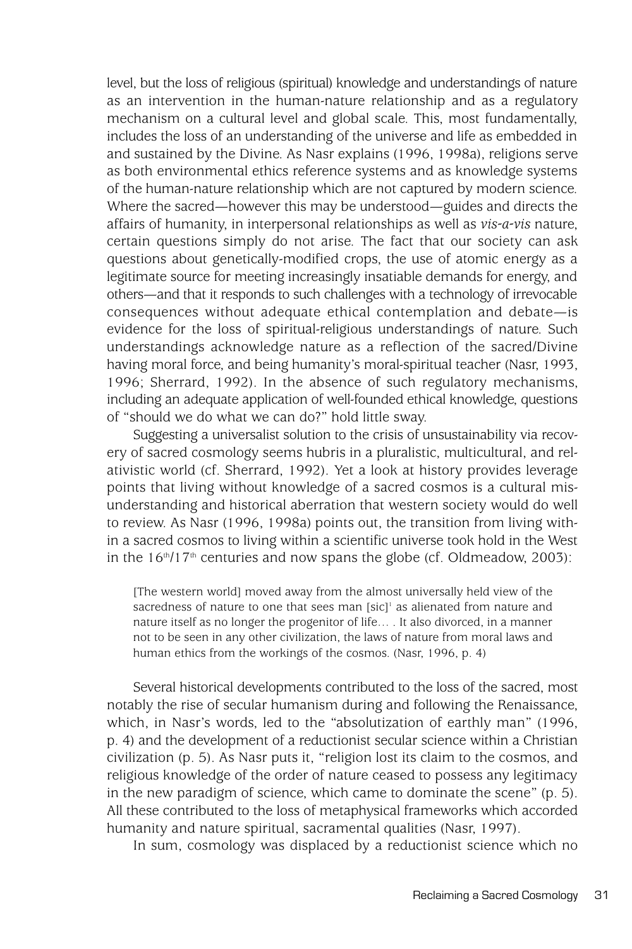level, but the loss of religious (spiritual) knowledge and understandings of nature as an intervention in the human-nature relationship and as a regulatory mechanism on a cultural level and global scale. This, most fundamentally, includes the loss of an understanding of the universe and life as embedded in and sustained by the Divine. As Nasr explains (1996, 1998a), religions serve as both environmental ethics reference systems and as knowledge systems of the human-nature relationship which are not captured by modern science. Where the sacred—however this may be understood—guides and directs the affairs of humanity, in interpersonal relationships as well as *vis-a-vis* nature, certain questions simply do not arise. The fact that our society can ask questions about genetically-modified crops, the use of atomic energy as a legitimate source for meeting increasingly insatiable demands for energy, and others—and that it responds to such challenges with a technology of irrevocable consequences without adequate ethical contemplation and debate—is evidence for the loss of spiritual-religious understandings of nature. Such understandings acknowledge nature as a reflection of the sacred/Divine having moral force, and being humanity's moral-spiritual teacher (Nasr, 1993, 1996; Sherrard, 1992). In the absence of such regulatory mechanisms, including an adequate application of well-founded ethical knowledge, questions of "should we do what we can do?" hold little sway.

Suggesting a universalist solution to the crisis of unsustainability via recovery of sacred cosmology seems hubris in a pluralistic, multicultural, and relativistic world (cf. Sherrard, 1992). Yet a look at history provides leverage points that living without knowledge of a sacred cosmos is a cultural misunderstanding and historical aberration that western society would do well to review. As Nasr (1996, 1998a) points out, the transition from living within a sacred cosmos to living within a scientific universe took hold in the West in the  $16<sup>th</sup>/17<sup>th</sup>$  centuries and now spans the globe (cf. Oldmeadow, 2003):

[The western world] moved away from the almost universally held view of the sacredness of nature to one that sees man [sic]<sup>1</sup> as alienated from nature and nature itself as no longer the progenitor of life… . It also divorced, in a manner not to be seen in any other civilization, the laws of nature from moral laws and human ethics from the workings of the cosmos. (Nasr, 1996, p. 4)

Several historical developments contributed to the loss of the sacred, most notably the rise of secular humanism during and following the Renaissance, which, in Nasr's words, led to the "absolutization of earthly man" (1996, p. 4) and the development of a reductionist secular science within a Christian civilization (p. 5). As Nasr puts it, "religion lost its claim to the cosmos, and religious knowledge of the order of nature ceased to possess any legitimacy in the new paradigm of science, which came to dominate the scene" (p. 5). All these contributed to the loss of metaphysical frameworks which accorded humanity and nature spiritual, sacramental qualities (Nasr, 1997).

In sum, cosmology was displaced by a reductionist science which no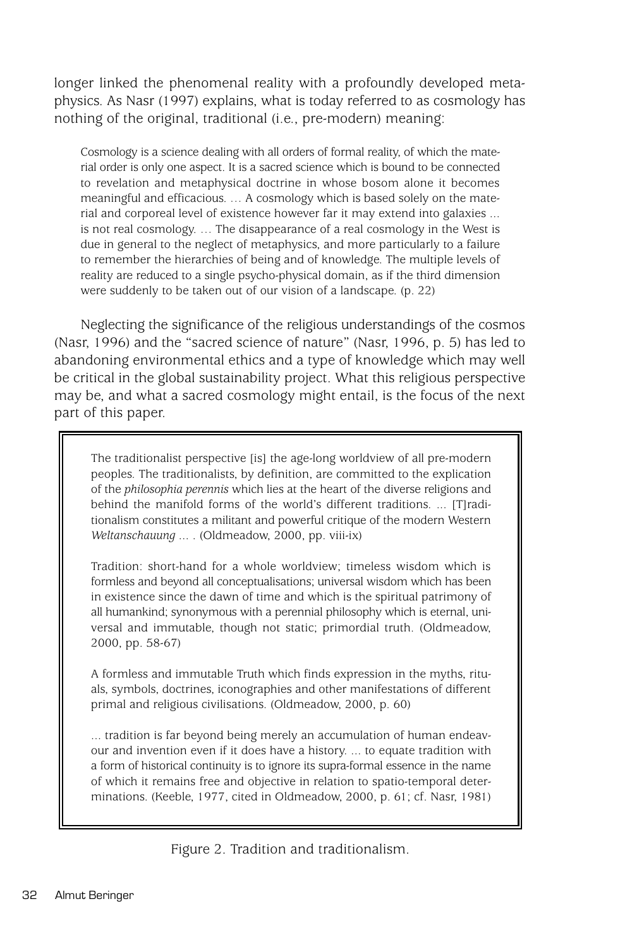longer linked the phenomenal reality with a profoundly developed metaphysics. As Nasr (1997) explains, what is today referred to as cosmology has nothing of the original, traditional (i.e., pre-modern) meaning:

Cosmology is a science dealing with all orders of formal reality, of which the material order is only one aspect. It is a sacred science which is bound to be connected to revelation and metaphysical doctrine in whose bosom alone it becomes meaningful and efficacious. … A cosmology which is based solely on the material and corporeal level of existence however far it may extend into galaxies ... is not real cosmology. … The disappearance of a real cosmology in the West is due in general to the neglect of metaphysics, and more particularly to a failure to remember the hierarchies of being and of knowledge. The multiple levels of reality are reduced to a single psycho-physical domain, as if the third dimension were suddenly to be taken out of our vision of a landscape. (p. 22)

Neglecting the significance of the religious understandings of the cosmos (Nasr, 1996) and the "sacred science of nature" (Nasr, 1996, p. 5) has led to abandoning environmental ethics and a type of knowledge which may well be critical in the global sustainability project. What this religious perspective may be, and what a sacred cosmology might entail, is the focus of the next part of this paper.

The traditionalist perspective [is] the age-long worldview of all pre-modern peoples. The traditionalists, by definition, are committed to the explication of the *philosophia perennis* which lies at the heart of the diverse religions and behind the manifold forms of the world's different traditions. ... [T]raditionalism constitutes a militant and powerful critique of the modern Western *Weltanschauung* ... . (Oldmeadow, 2000, pp. viii-ix)

Tradition: short-hand for a whole worldview; timeless wisdom which is formless and beyond all conceptualisations; universal wisdom which has been in existence since the dawn of time and which is the spiritual patrimony of all humankind; synonymous with a perennial philosophy which is eternal, universal and immutable, though not static; primordial truth. (Oldmeadow, 2000, pp. 58-67)

A formless and immutable Truth which finds expression in the myths, rituals, symbols, doctrines, iconographies and other manifestations of different primal and religious civilisations. (Oldmeadow, 2000, p. 60)

... tradition is far beyond being merely an accumulation of human endeavour and invention even if it does have a history. ... to equate tradition with a form of historical continuity is to ignore its supra-formal essence in the name of which it remains free and objective in relation to spatio-temporal determinations. (Keeble, 1977, cited in Oldmeadow, 2000, p. 61; cf. Nasr, 1981)

Figure 2. Tradition and traditionalism.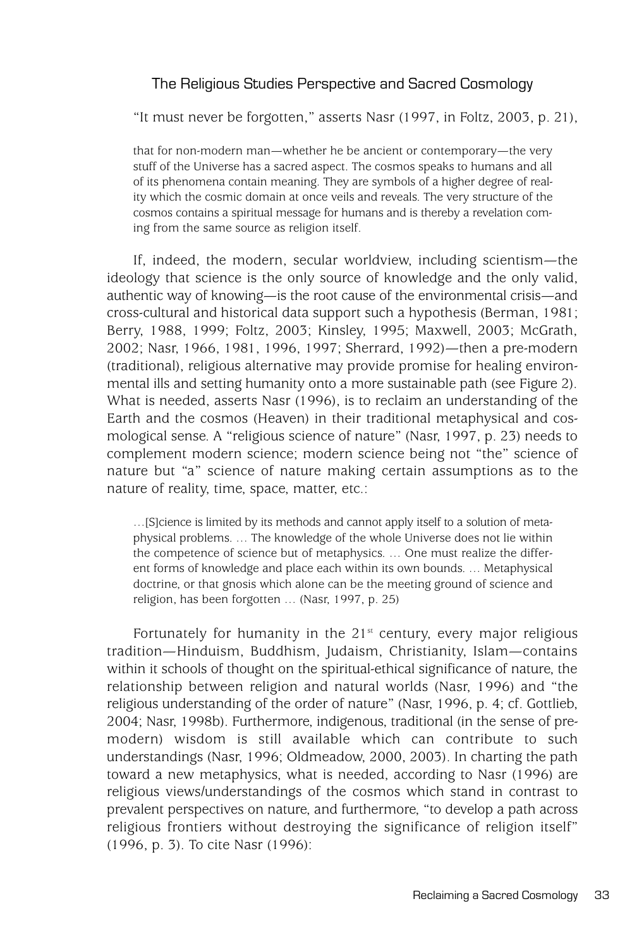# The Religious Studies Perspective and Sacred Cosmology

"It must never be forgotten," asserts Nasr (1997, in Foltz, 2003, p. 21),

that for non-modern man—whether he be ancient or contemporary—the very stuff of the Universe has a sacred aspect. The cosmos speaks to humans and all of its phenomena contain meaning. They are symbols of a higher degree of reality which the cosmic domain at once veils and reveals. The very structure of the cosmos contains a spiritual message for humans and is thereby a revelation coming from the same source as religion itself.

If, indeed, the modern, secular worldview, including scientism—the ideology that science is the only source of knowledge and the only valid, authentic way of knowing—is the root cause of the environmental crisis—and cross-cultural and historical data support such a hypothesis (Berman, 1981; Berry, 1988, 1999; Foltz, 2003; Kinsley, 1995; Maxwell, 2003; McGrath, 2002; Nasr, 1966, 1981, 1996, 1997; Sherrard, 1992)—then a pre-modern (traditional), religious alternative may provide promise for healing environmental ills and setting humanity onto a more sustainable path (see Figure 2). What is needed, asserts Nasr (1996), is to reclaim an understanding of the Earth and the cosmos (Heaven) in their traditional metaphysical and cosmological sense. A "religious science of nature" (Nasr, 1997, p. 23) needs to complement modern science; modern science being not "the" science of nature but "a" science of nature making certain assumptions as to the nature of reality, time, space, matter, etc.:

…[S]cience is limited by its methods and cannot apply itself to a solution of metaphysical problems. … The knowledge of the whole Universe does not lie within the competence of science but of metaphysics. … One must realize the different forms of knowledge and place each within its own bounds. … Metaphysical doctrine, or that gnosis which alone can be the meeting ground of science and religion, has been forgotten … (Nasr, 1997, p. 25)

Fortunately for humanity in the  $21<sup>st</sup>$  century, every major religious tradition—Hinduism, Buddhism, Judaism, Christianity, Islam—contains within it schools of thought on the spiritual-ethical significance of nature, the relationship between religion and natural worlds (Nasr, 1996) and "the religious understanding of the order of nature" (Nasr, 1996, p. 4; cf. Gottlieb, 2004; Nasr, 1998b). Furthermore, indigenous, traditional (in the sense of premodern) wisdom is still available which can contribute to such understandings (Nasr, 1996; Oldmeadow, 2000, 2003). In charting the path toward a new metaphysics, what is needed, according to Nasr (1996) are religious views/understandings of the cosmos which stand in contrast to prevalent perspectives on nature, and furthermore, "to develop a path across religious frontiers without destroying the significance of religion itself" (1996, p. 3). To cite Nasr (1996):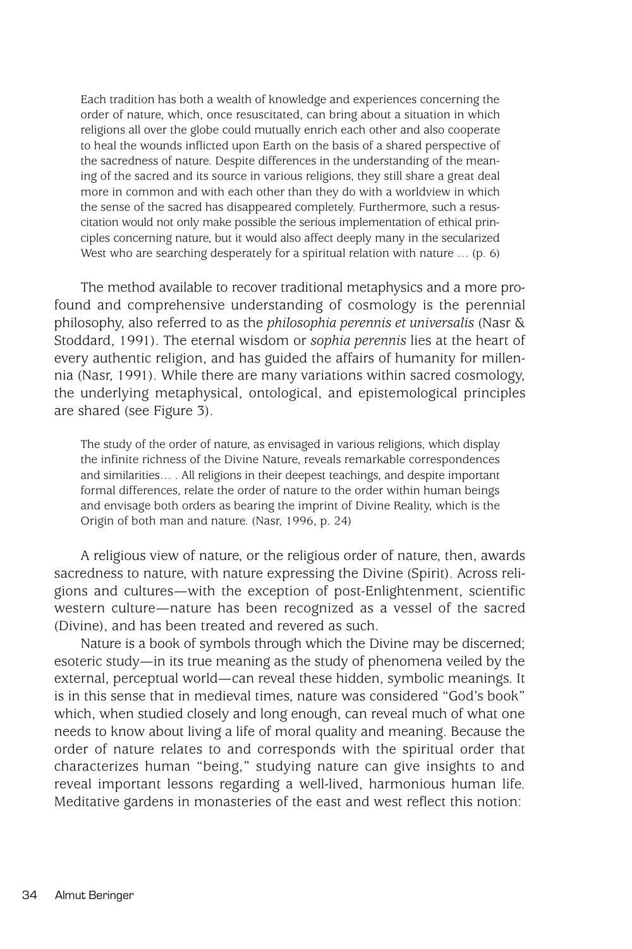Each tradition has both a wealth of knowledge and experiences concerning the order of nature, which, once resuscitated, can bring about a situation in which religions all over the globe could mutually enrich each other and also cooperate to heal the wounds inflicted upon Earth on the basis of a shared perspective of the sacredness of nature. Despite differences in the understanding of the meaning of the sacred and its source in various religions, they still share a great deal more in common and with each other than they do with a worldview in which the sense of the sacred has disappeared completely. Furthermore, such a resuscitation would not only make possible the serious implementation of ethical principles concerning nature, but it would also affect deeply many in the secularized West who are searching desperately for a spiritual relation with nature … (p. 6)

The method available to recover traditional metaphysics and a more profound and comprehensive understanding of cosmology is the perennial philosophy, also referred to as the *philosophia perennis et universalis* (Nasr & Stoddard, 1991). The eternal wisdom or *sophia perennis* lies at the heart of every authentic religion, and has guided the affairs of humanity for millennia (Nasr, 1991). While there are many variations within sacred cosmology, the underlying metaphysical, ontological, and epistemological principles are shared (see Figure 3).

The study of the order of nature, as envisaged in various religions, which display the infinite richness of the Divine Nature, reveals remarkable correspondences and similarities… . All religions in their deepest teachings, and despite important formal differences, relate the order of nature to the order within human beings and envisage both orders as bearing the imprint of Divine Reality, which is the Origin of both man and nature. (Nasr, 1996, p. 24)

A religious view of nature, or the religious order of nature, then, awards sacredness to nature, with nature expressing the Divine (Spirit). Across religions and cultures—with the exception of post-Enlightenment, scientific western culture—nature has been recognized as a vessel of the sacred (Divine), and has been treated and revered as such.

Nature is a book of symbols through which the Divine may be discerned; esoteric study—in its true meaning as the study of phenomena veiled by the external, perceptual world—can reveal these hidden, symbolic meanings. It is in this sense that in medieval times, nature was considered "God's book" which, when studied closely and long enough, can reveal much of what one needs to know about living a life of moral quality and meaning. Because the order of nature relates to and corresponds with the spiritual order that characterizes human "being," studying nature can give insights to and reveal important lessons regarding a well-lived, harmonious human life. Meditative gardens in monasteries of the east and west reflect this notion: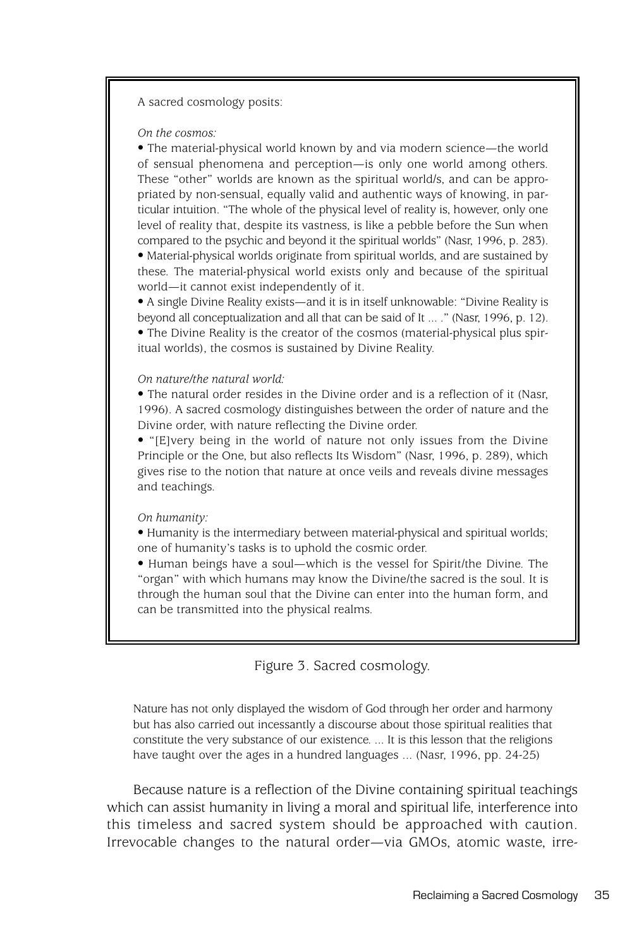A sacred cosmology posits:

#### *On the cosmos:*

• The material-physical world known by and via modern science—the world of sensual phenomena and perception—is only one world among others. These "other" worlds are known as the spiritual world/s, and can be appropriated by non-sensual, equally valid and authentic ways of knowing, in particular intuition. "The whole of the physical level of reality is, however, only one level of reality that, despite its vastness, is like a pebble before the Sun when compared to the psychic and beyond it the spiritual worlds" (Nasr, 1996, p. 283). • Material-physical worlds originate from spiritual worlds, and are sustained by

these. The material-physical world exists only and because of the spiritual world—it cannot exist independently of it.

• A single Divine Reality exists—and it is in itself unknowable: "Divine Reality is beyond all conceptualization and all that can be said of It ... ." (Nasr, 1996, p. 12). • The Divine Reality is the creator of the cosmos (material-physical plus spiritual worlds), the cosmos is sustained by Divine Reality.

#### *On nature/the natural world:*

• The natural order resides in the Divine order and is a reflection of it (Nasr, 1996). A sacred cosmology distinguishes between the order of nature and the Divine order, with nature reflecting the Divine order.

• "[E]very being in the world of nature not only issues from the Divine Principle or the One, but also reflects Its Wisdom" (Nasr, 1996, p. 289), which gives rise to the notion that nature at once veils and reveals divine messages and teachings.

#### *On humanity:*

• Humanity is the intermediary between material-physical and spiritual worlds; one of humanity's tasks is to uphold the cosmic order.

• Human beings have a soul—which is the vessel for Spirit/the Divine. The "organ" with which humans may know the Divine/the sacred is the soul. It is through the human soul that the Divine can enter into the human form, and can be transmitted into the physical realms.

#### Figure 3. Sacred cosmology.

Nature has not only displayed the wisdom of God through her order and harmony but has also carried out incessantly a discourse about those spiritual realities that constitute the very substance of our existence. ... It is this lesson that the religions have taught over the ages in a hundred languages ... (Nasr, 1996, pp. 24-25)

Because nature is a reflection of the Divine containing spiritual teachings which can assist humanity in living a moral and spiritual life, interference into this timeless and sacred system should be approached with caution. Irrevocable changes to the natural order—via GMOs, atomic waste, irre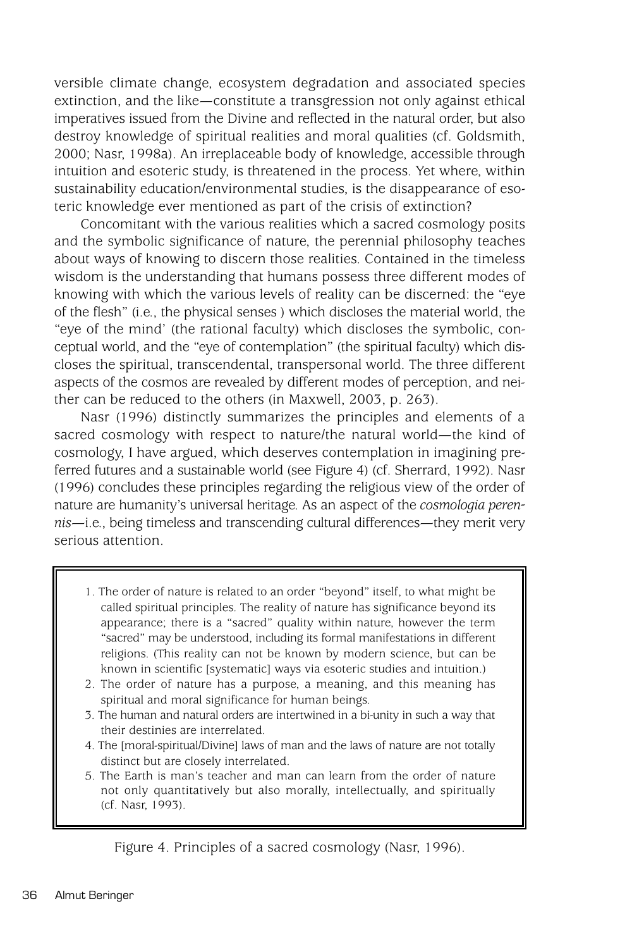versible climate change, ecosystem degradation and associated species extinction, and the like—constitute a transgression not only against ethical imperatives issued from the Divine and reflected in the natural order, but also destroy knowledge of spiritual realities and moral qualities (cf. Goldsmith, 2000; Nasr, 1998a). An irreplaceable body of knowledge, accessible through intuition and esoteric study, is threatened in the process. Yet where, within sustainability education/environmental studies, is the disappearance of esoteric knowledge ever mentioned as part of the crisis of extinction?

Concomitant with the various realities which a sacred cosmology posits and the symbolic significance of nature, the perennial philosophy teaches about ways of knowing to discern those realities. Contained in the timeless wisdom is the understanding that humans possess three different modes of knowing with which the various levels of reality can be discerned: the "eye of the flesh" (i.e., the physical senses ) which discloses the material world, the "eye of the mind' (the rational faculty) which discloses the symbolic, conceptual world, and the "eye of contemplation" (the spiritual faculty) which discloses the spiritual, transcendental, transpersonal world. The three different aspects of the cosmos are revealed by different modes of perception, and neither can be reduced to the others (in Maxwell, 2003, p. 263).

Nasr (1996) distinctly summarizes the principles and elements of a sacred cosmology with respect to nature/the natural world—the kind of cosmology, I have argued, which deserves contemplation in imagining preferred futures and a sustainable world (see Figure 4) (cf. Sherrard, 1992). Nasr (1996) concludes these principles regarding the religious view of the order of nature are humanity's universal heritage. As an aspect of the *cosmologia perennis*—i.e., being timeless and transcending cultural differences—they merit very serious attention.

- 1. The order of nature is related to an order "beyond" itself, to what might be called spiritual principles. The reality of nature has significance beyond its appearance; there is a "sacred" quality within nature, however the term "sacred" may be understood, including its formal manifestations in different religions. (This reality can not be known by modern science, but can be known in scientific [systematic] ways via esoteric studies and intuition.)
- 2. The order of nature has a purpose, a meaning, and this meaning has spiritual and moral significance for human beings.
- 3. The human and natural orders are intertwined in a bi-unity in such a way that their destinies are interrelated.
- 4. The [moral-spiritual/Divine] laws of man and the laws of nature are not totally distinct but are closely interrelated.
- 5. The Earth is man's teacher and man can learn from the order of nature not only quantitatively but also morally, intellectually, and spiritually (cf. Nasr, 1993).

Figure 4. Principles of a sacred cosmology (Nasr, 1996).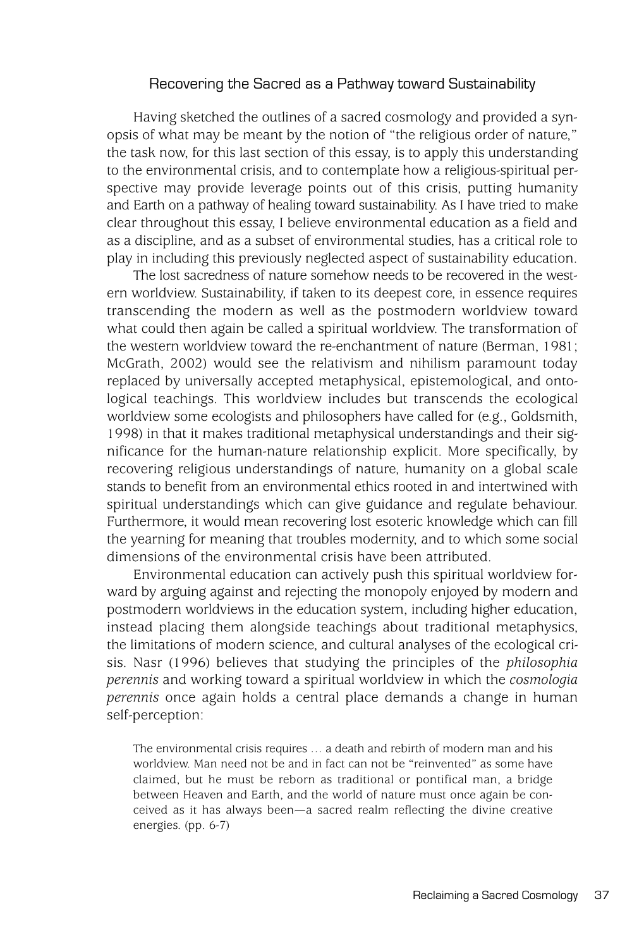## Recovering the Sacred as a Pathway toward Sustainability

Having sketched the outlines of a sacred cosmology and provided a synopsis of what may be meant by the notion of "the religious order of nature," the task now, for this last section of this essay, is to apply this understanding to the environmental crisis, and to contemplate how a religious-spiritual perspective may provide leverage points out of this crisis, putting humanity and Earth on a pathway of healing toward sustainability. As I have tried to make clear throughout this essay, I believe environmental education as a field and as a discipline, and as a subset of environmental studies, has a critical role to play in including this previously neglected aspect of sustainability education.

The lost sacredness of nature somehow needs to be recovered in the western worldview. Sustainability, if taken to its deepest core, in essence requires transcending the modern as well as the postmodern worldview toward what could then again be called a spiritual worldview. The transformation of the western worldview toward the re-enchantment of nature (Berman, 1981; McGrath, 2002) would see the relativism and nihilism paramount today replaced by universally accepted metaphysical, epistemological, and ontological teachings. This worldview includes but transcends the ecological worldview some ecologists and philosophers have called for (e.g., Goldsmith, 1998) in that it makes traditional metaphysical understandings and their significance for the human-nature relationship explicit. More specifically, by recovering religious understandings of nature, humanity on a global scale stands to benefit from an environmental ethics rooted in and intertwined with spiritual understandings which can give guidance and regulate behaviour. Furthermore, it would mean recovering lost esoteric knowledge which can fill the yearning for meaning that troubles modernity, and to which some social dimensions of the environmental crisis have been attributed.

Environmental education can actively push this spiritual worldview forward by arguing against and rejecting the monopoly enjoyed by modern and postmodern worldviews in the education system, including higher education, instead placing them alongside teachings about traditional metaphysics, the limitations of modern science, and cultural analyses of the ecological crisis. Nasr (1996) believes that studying the principles of the *philosophia perennis* and working toward a spiritual worldview in which the *cosmologia perennis* once again holds a central place demands a change in human self-perception:

The environmental crisis requires … a death and rebirth of modern man and his worldview. Man need not be and in fact can not be "reinvented" as some have claimed, but he must be reborn as traditional or pontifical man, a bridge between Heaven and Earth, and the world of nature must once again be conceived as it has always been—a sacred realm reflecting the divine creative energies. (pp. 6-7)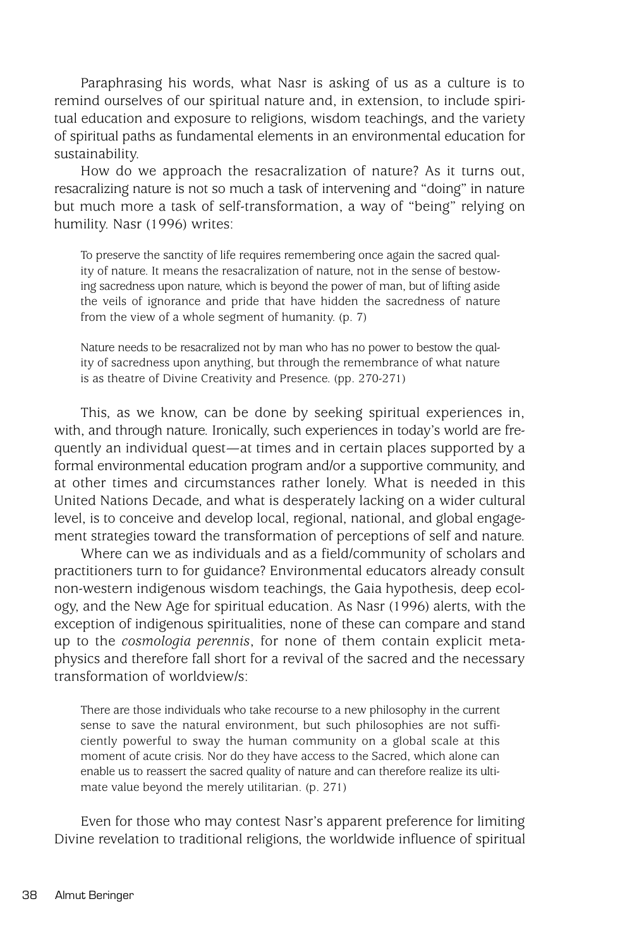Paraphrasing his words, what Nasr is asking of us as a culture is to remind ourselves of our spiritual nature and, in extension, to include spiritual education and exposure to religions, wisdom teachings, and the variety of spiritual paths as fundamental elements in an environmental education for sustainability.

How do we approach the resacralization of nature? As it turns out, resacralizing nature is not so much a task of intervening and "doing" in nature but much more a task of self-transformation, a way of "being" relying on humility. Nasr (1996) writes:

To preserve the sanctity of life requires remembering once again the sacred quality of nature. It means the resacralization of nature, not in the sense of bestowing sacredness upon nature, which is beyond the power of man, but of lifting aside the veils of ignorance and pride that have hidden the sacredness of nature from the view of a whole segment of humanity. (p. 7)

Nature needs to be resacralized not by man who has no power to bestow the quality of sacredness upon anything, but through the remembrance of what nature is as theatre of Divine Creativity and Presence. (pp. 270-271)

This, as we know, can be done by seeking spiritual experiences in, with, and through nature. Ironically, such experiences in today's world are frequently an individual quest—at times and in certain places supported by a formal environmental education program and/or a supportive community, and at other times and circumstances rather lonely. What is needed in this United Nations Decade, and what is desperately lacking on a wider cultural level, is to conceive and develop local, regional, national, and global engagement strategies toward the transformation of perceptions of self and nature.

Where can we as individuals and as a field/community of scholars and practitioners turn to for guidance? Environmental educators already consult non-western indigenous wisdom teachings, the Gaia hypothesis, deep ecology, and the New Age for spiritual education. As Nasr (1996) alerts, with the exception of indigenous spiritualities, none of these can compare and stand up to the *cosmologia perennis*, for none of them contain explicit metaphysics and therefore fall short for a revival of the sacred and the necessary transformation of worldview/s:

There are those individuals who take recourse to a new philosophy in the current sense to save the natural environment, but such philosophies are not sufficiently powerful to sway the human community on a global scale at this moment of acute crisis. Nor do they have access to the Sacred, which alone can enable us to reassert the sacred quality of nature and can therefore realize its ultimate value beyond the merely utilitarian. (p. 271)

Even for those who may contest Nasr's apparent preference for limiting Divine revelation to traditional religions, the worldwide influence of spiritual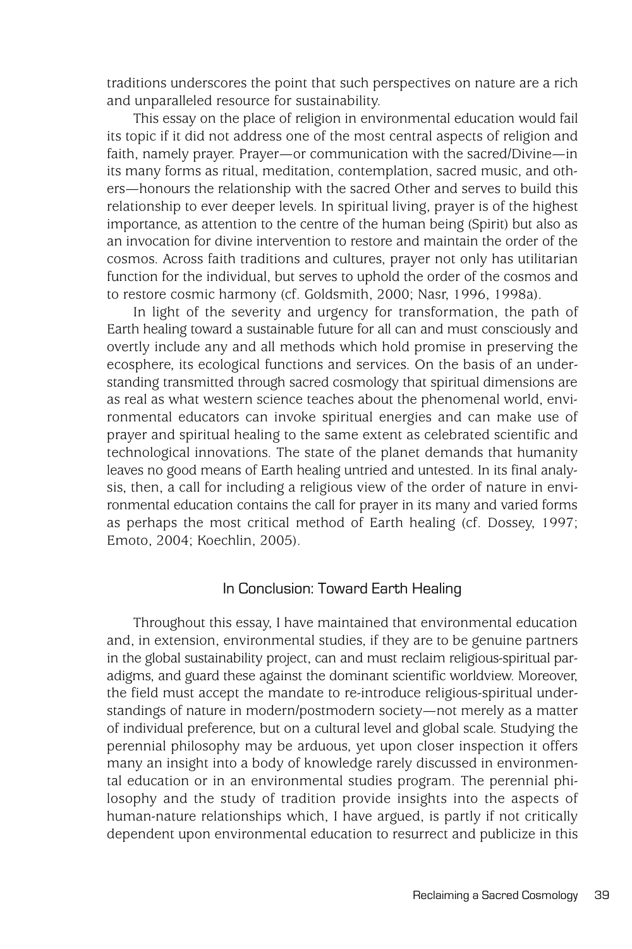traditions underscores the point that such perspectives on nature are a rich and unparalleled resource for sustainability.

This essay on the place of religion in environmental education would fail its topic if it did not address one of the most central aspects of religion and faith, namely prayer. Prayer—or communication with the sacred/Divine—in its many forms as ritual, meditation, contemplation, sacred music, and others—honours the relationship with the sacred Other and serves to build this relationship to ever deeper levels. In spiritual living, prayer is of the highest importance, as attention to the centre of the human being (Spirit) but also as an invocation for divine intervention to restore and maintain the order of the cosmos. Across faith traditions and cultures, prayer not only has utilitarian function for the individual, but serves to uphold the order of the cosmos and to restore cosmic harmony (cf. Goldsmith, 2000; Nasr, 1996, 1998a).

In light of the severity and urgency for transformation, the path of Earth healing toward a sustainable future for all can and must consciously and overtly include any and all methods which hold promise in preserving the ecosphere, its ecological functions and services. On the basis of an understanding transmitted through sacred cosmology that spiritual dimensions are as real as what western science teaches about the phenomenal world, environmental educators can invoke spiritual energies and can make use of prayer and spiritual healing to the same extent as celebrated scientific and technological innovations. The state of the planet demands that humanity leaves no good means of Earth healing untried and untested. In its final analysis, then, a call for including a religious view of the order of nature in environmental education contains the call for prayer in its many and varied forms as perhaps the most critical method of Earth healing (cf. Dossey, 1997; Emoto, 2004; Koechlin, 2005).

## In Conclusion: Toward Earth Healing

Throughout this essay, I have maintained that environmental education and, in extension, environmental studies, if they are to be genuine partners in the global sustainability project, can and must reclaim religious-spiritual paradigms, and guard these against the dominant scientific worldview. Moreover, the field must accept the mandate to re-introduce religious-spiritual understandings of nature in modern/postmodern society—not merely as a matter of individual preference, but on a cultural level and global scale. Studying the perennial philosophy may be arduous, yet upon closer inspection it offers many an insight into a body of knowledge rarely discussed in environmental education or in an environmental studies program. The perennial philosophy and the study of tradition provide insights into the aspects of human-nature relationships which, I have argued, is partly if not critically dependent upon environmental education to resurrect and publicize in this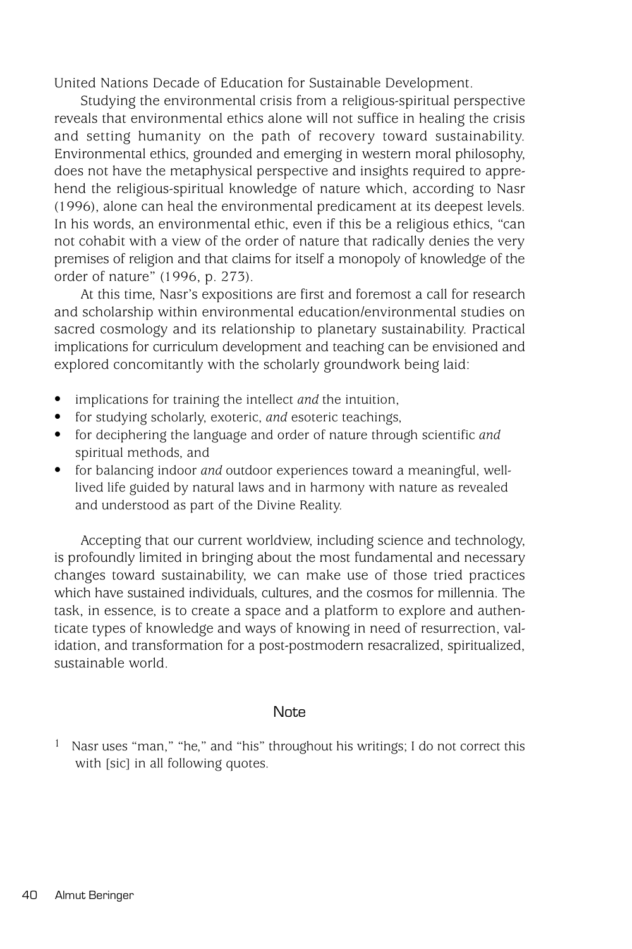United Nations Decade of Education for Sustainable Development.

Studying the environmental crisis from a religious-spiritual perspective reveals that environmental ethics alone will not suffice in healing the crisis and setting humanity on the path of recovery toward sustainability. Environmental ethics, grounded and emerging in western moral philosophy, does not have the metaphysical perspective and insights required to apprehend the religious-spiritual knowledge of nature which, according to Nasr (1996), alone can heal the environmental predicament at its deepest levels. In his words, an environmental ethic, even if this be a religious ethics, "can not cohabit with a view of the order of nature that radically denies the very premises of religion and that claims for itself a monopoly of knowledge of the order of nature" (1996, p. 273).

At this time, Nasr's expositions are first and foremost a call for research and scholarship within environmental education/environmental studies on sacred cosmology and its relationship to planetary sustainability. Practical implications for curriculum development and teaching can be envisioned and explored concomitantly with the scholarly groundwork being laid:

- implications for training the intellect *and* the intuition,
- for studying scholarly, exoteric, *and* esoteric teachings,
- for deciphering the language and order of nature through scientific *and* spiritual methods, and
- for balancing indoor *and* outdoor experiences toward a meaningful, welllived life guided by natural laws and in harmony with nature as revealed and understood as part of the Divine Reality.

Accepting that our current worldview, including science and technology, is profoundly limited in bringing about the most fundamental and necessary changes toward sustainability, we can make use of those tried practices which have sustained individuals, cultures, and the cosmos for millennia. The task, in essence, is to create a space and a platform to explore and authenticate types of knowledge and ways of knowing in need of resurrection, validation, and transformation for a post-postmodern resacralized, spiritualized, sustainable world.

## **Note**

<sup>1</sup> Nasr uses "man," "he," and "his" throughout his writings; I do not correct this with [sic] in all following quotes.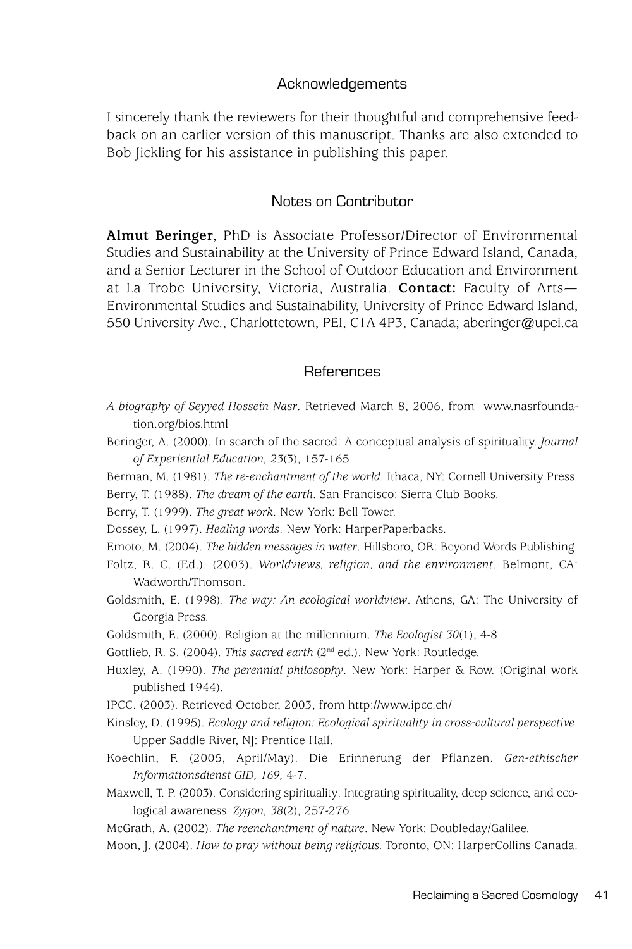### Acknowledgements

I sincerely thank the reviewers for their thoughtful and comprehensive feedback on an earlier version of this manuscript. Thanks are also extended to Bob Jickling for his assistance in publishing this paper.

## Notes on Contributor

**Almut Beringer**, PhD is Associate Professor/Director of Environmental Studies and Sustainability at the University of Prince Edward Island, Canada, and a Senior Lecturer in the School of Outdoor Education and Environment at La Trobe University, Victoria, Australia. **Contact:** Faculty of Arts— Environmental Studies and Sustainability, University of Prince Edward Island, 550 University Ave., Charlottetown, PEI, C1A 4P3, Canada; aberinger@upei.ca

# References

- *A biography of Seyyed Hossein Nasr*. Retrieved March 8, 2006, from www.nasrfoundation.org/bios.html
- Beringer, A. (2000). In search of the sacred: A conceptual analysis of spirituality. *Journal of Experiential Education, 23*(3), 157-165.
- Berman, M. (1981). *The re-enchantment of the world*. Ithaca, NY: Cornell University Press.
- Berry, T. (1988). *The dream of the earth*. San Francisco: Sierra Club Books.
- Berry, T. (1999). *The great work*. New York: Bell Tower.
- Dossey, L. (1997). *Healing words*. New York: HarperPaperbacks.
- Emoto, M. (2004). *The hidden messages in water*. Hillsboro, OR: Beyond Words Publishing.
- Foltz, R. C. (Ed.). (2003). *Worldviews, religion, and the environment*. Belmont, CA: Wadworth/Thomson.
- Goldsmith, E. (1998). *The way: An ecological worldview*. Athens, GA: The University of Georgia Press.
- Goldsmith, E. (2000). Religion at the millennium. *The Ecologist 30*(1), 4-8.
- Gottlieb, R. S. (2004). *This sacred earth* (2nd ed.). New York: Routledge.
- Huxley, A. (1990). *The perennial philosophy*. New York: Harper & Row. (Original work published 1944).
- IPCC. (2003). Retrieved October, 2003, from http://www.ipcc.ch/
- Kinsley, D. (1995). *Ecology and religion: Ecological spirituality in cross-cultural perspective*. Upper Saddle River, NJ: Prentice Hall.
- Koechlin, F. (2005, April/May). Die Erinnerung der Pflanzen. *Gen-ethischer Informationsdienst GID, 169,* 4-7.
- Maxwell, T. P. (2003). Considering spirituality: Integrating spirituality, deep science, and ecological awareness. *Zygon, 38*(2), 257-276.
- McGrath, A. (2002). *The reenchantment of nature*. New York: Doubleday/Galilee.
- Moon, J. (2004). *How to pray without being religious.* Toronto, ON: HarperCollins Canada.